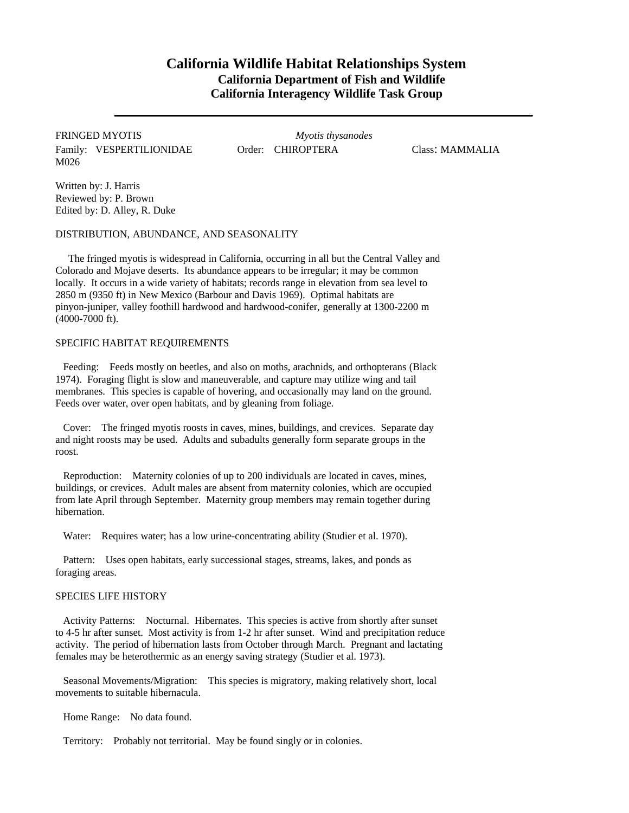## **California Wildlife Habitat Relationships System California Department of Fish and Wildlife California Interagency Wildlife Task Group**

FRINGED MYOTIS *Myotis thysanodes* Family: VESPERTILIONIDAE Order: CHIROPTERA Class: MAMMALIA M026

Written by: J. Harris Reviewed by: P. Brown Edited by: D. Alley, R. Duke

DISTRIBUTION, ABUNDANCE, AND SEASONALITY

The fringed myotis is widespread in California, occurring in all but the Central Valley and Colorado and Mojave deserts. Its abundance appears to be irregular; it may be common locally. It occurs in a wide variety of habitats; records range in elevation from sea level to 2850 m (9350 ft) in New Mexico (Barbour and Davis 1969). Optimal habitats are pinyon-juniper, valley foothill hardwood and hardwood-conifer, generally at 1300-2200 m (4000-7000 ft).

## SPECIFIC HABITAT REQUIREMENTS

Feeding: Feeds mostly on beetles, and also on moths, arachnids, and orthopterans (Black 1974). Foraging flight is slow and maneuverable, and capture may utilize wing and tail membranes. This species is capable of hovering, and occasionally may land on the ground. Feeds over water, over open habitats, and by gleaning from foliage.

Cover: The fringed myotis roosts in caves, mines, buildings, and crevices. Separate day and night roosts may be used. Adults and subadults generally form separate groups in the roost.

Reproduction: Maternity colonies of up to 200 individuals are located in caves, mines, buildings, or crevices. Adult males are absent from maternity colonies, which are occupied from late April through September. Maternity group members may remain together during hibernation.

Water: Requires water; has a low urine-concentrating ability (Studier et al. 1970).

Pattern: Uses open habitats, early successional stages, streams, lakes, and ponds as foraging areas.

## SPECIES LIFE HISTORY

Activity Patterns: Nocturnal. Hibernates. This species is active from shortly after sunset to 4-5 hr after sunset. Most activity is from 1-2 hr after sunset. Wind and precipitation reduce activity. The period of hibernation lasts from October through March. Pregnant and lactating females may be heterothermic as an energy saving strategy (Studier et al. 1973).

Seasonal Movements/Migration: This species is migratory, making relatively short, local movements to suitable hibernacula.

Home Range: No data found.

Territory: Probably not territorial. May be found singly or in colonies.